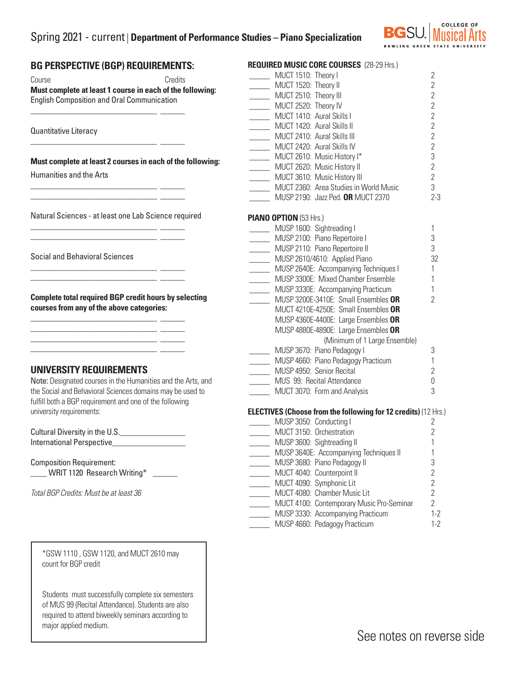# Spring 2021 - current | **Department of Performance Studies – Piano Specialization**



### **BG PERSPECTIVE (BGP) REQUIREMENTS:**

\_\_\_\_\_\_\_\_\_\_\_\_\_\_\_\_\_\_\_\_\_\_\_\_\_\_\_\_\_\_\_ \_\_\_\_\_\_

\_\_\_\_\_\_\_\_\_\_\_\_\_\_\_\_\_\_\_\_\_\_\_\_\_\_\_\_\_\_\_ \_\_\_\_\_\_

\_\_\_\_\_\_\_\_\_\_\_\_\_\_\_\_\_\_\_\_\_\_\_\_\_\_\_\_\_\_\_ \_\_\_\_\_\_  $\frac{1}{2}$  ,  $\frac{1}{2}$  ,  $\frac{1}{2}$  ,  $\frac{1}{2}$  ,  $\frac{1}{2}$  ,  $\frac{1}{2}$  ,  $\frac{1}{2}$  ,  $\frac{1}{2}$  ,  $\frac{1}{2}$  ,  $\frac{1}{2}$  ,  $\frac{1}{2}$  ,  $\frac{1}{2}$  ,  $\frac{1}{2}$  ,  $\frac{1}{2}$  ,  $\frac{1}{2}$  ,  $\frac{1}{2}$  ,  $\frac{1}{2}$  ,  $\frac{1}{2}$  ,  $\frac{1$ 

\_\_\_\_\_\_\_\_\_\_\_\_\_\_\_\_\_\_\_\_\_\_\_\_\_\_\_\_\_\_\_ \_\_\_\_\_\_ \_\_\_\_\_\_\_\_\_\_\_\_\_\_\_\_\_\_\_\_\_\_\_\_\_\_\_\_\_\_\_ \_\_\_\_\_\_

\_\_\_\_\_\_\_\_\_\_\_\_\_\_\_\_\_\_\_\_\_\_\_\_\_\_\_\_\_\_\_ \_\_\_\_\_\_ \_\_\_\_\_\_\_\_\_\_\_\_\_\_\_\_\_\_\_\_\_\_\_\_\_\_\_\_\_\_\_ \_\_\_\_\_\_

\_\_\_\_\_\_\_\_\_\_\_\_\_\_\_\_\_\_\_\_\_\_\_\_\_\_\_\_\_\_\_ \_\_\_\_\_\_ \_\_\_\_\_\_\_\_\_\_\_\_\_\_\_\_\_\_\_\_\_\_\_\_\_\_\_\_\_\_\_ \_\_\_\_\_\_ \_\_\_\_\_\_\_\_\_\_\_\_\_\_\_\_\_\_\_\_\_\_\_\_\_\_\_\_\_\_\_ \_\_\_\_\_\_ \_\_\_\_\_\_\_\_\_\_\_\_\_\_\_\_\_\_\_\_\_\_\_\_\_\_\_\_\_\_\_ \_\_\_\_\_\_

Course **Credits Must complete at least 1 course in each of the following:**  English Composition and Oral Communication

Quantitative Literacy

**Must complete at least 2 courses in each of the following:**

Humanities and the Arts

Natural Sciences - at least one Lab Science required

Social and Behavioral Sciences

**Complete total required BGP credit hours by selecting courses from any of the above categories:**

#### **UNIVERSITY REQUIREMENTS**

Note: Designated courses in the Humanities and the Arts, and the Social and Behavioral Sciences domains may be used to fulfill both a BGP requirement and one of the following university requirements:

| Cultural Diversity in the U.S. |  |
|--------------------------------|--|
| International Perspective      |  |

Composition Requirement: WRIT 1120 Research Writing\*

*Total BGP Credits: Must be at least 36*

\*GSW 1110 , GSW 1120, and MUCT 2610 may count for BGP credit

Students must successfully complete six semesters of MUS 99 (Recital Attendance). Students are also required to attend biweekly seminars according to major applied medium.

| <b>REQUIRED MUSIC CORE COURSES (28-29 Hrs.)</b>                        |                |
|------------------------------------------------------------------------|----------------|
| MUCT 1510: Theory I                                                    | $\overline{2}$ |
| MUCT 1520: Theory II                                                   | $\overline{2}$ |
| MUCT 2510: Theory III                                                  | $\overline{2}$ |
| MUCT 2520: Theory IV                                                   | $\overline{2}$ |
| MUCT 1410: Aural Skills I                                              | $\overline{2}$ |
| MUCT 1420: Aural Skills II                                             | $\overline{2}$ |
| MUCT 2410: Aural Skills III                                            | $\overline{2}$ |
| MUCT 2420: Aural Skills IV                                             | $\overline{2}$ |
| MUCT 2610: Music History I*                                            | 3              |
| MUCT 2620: Music History II                                            | $\overline{2}$ |
| MUCT 3610: Music History III<br>MUCT 2360: Area Studies in World Music | $\overline{2}$ |
|                                                                        | 3              |
| MUSP 2190: Jazz Ped. OR MUCT 2370                                      | $2 - 3$        |
| PIANO OPTION (53 Hrs.)                                                 |                |
| MUSP 1600: Sightreading I                                              | 1              |
| MUSP 2100: Piano Repertoire I                                          | 3              |
| MUSP 2110: Piano Repertoire II                                         | 3              |
| MUSP 2610/4610: Applied Piano                                          | 32             |
| MUSP 2640E: Accompanying Techniques I                                  | 1              |
| MUSP 3300E: Mixed Chamber Ensemble                                     | 1              |
| MUSP 3330E: Accompanying Practicum                                     | $\mathbf{1}$   |
| MUSP 3200E-3410E: Small Ensembles OR                                   | $\overline{2}$ |
| MUCT 4210E-4250E: Small Ensembles OR                                   |                |
| MUSP 4360E-4400E: Large Ensembles OR                                   |                |
| MUSP 4880E-4890E: Large Ensembles OR                                   |                |
| (Minimum of 1 Large Ensemble)                                          |                |
| MUSP 3670: Piano Pedagogy I                                            | 3              |
| MUSP 4660: Piano Pedagogy Practicum                                    | 1              |
| MUSP 4950: Senior Recital                                              | $\overline{2}$ |
| MUS 99: Recital Attendance                                             | 0              |
| MUCT 3070: Form and Analysis                                           | 3              |
| <b>ELECTIVES (Choose from the following for 12 credits) (12 Hrs.)</b>  |                |
| MUSP 3050: Conducting I                                                | 2              |
| MUCT 3150: Orchestration                                               | $\overline{2}$ |
| MUSP 3600: Sightreading II                                             | $\mathbf{1}$   |
| MUSP 3640E: Accompanying Techniques II                                 | 1              |
| MUSP 3680: Piano Pedagogy II                                           | 3              |
| MUCT 4040: Counterpoint II                                             | $\overline{2}$ |
| MUCT 4090: Symphonic Lit                                               | $\overline{2}$ |
| MUCT 4080: Chamber Music Lit                                           | $\overline{2}$ |
| MUCT 4100: Contemporary Music Pro-Seminar                              | $\overline{2}$ |
| MUSP 3330: Accompanying Practicum                                      | $1 - 2$        |
| MUSP 4660: Pedagogy Practicum                                          | $1 - 2$        |